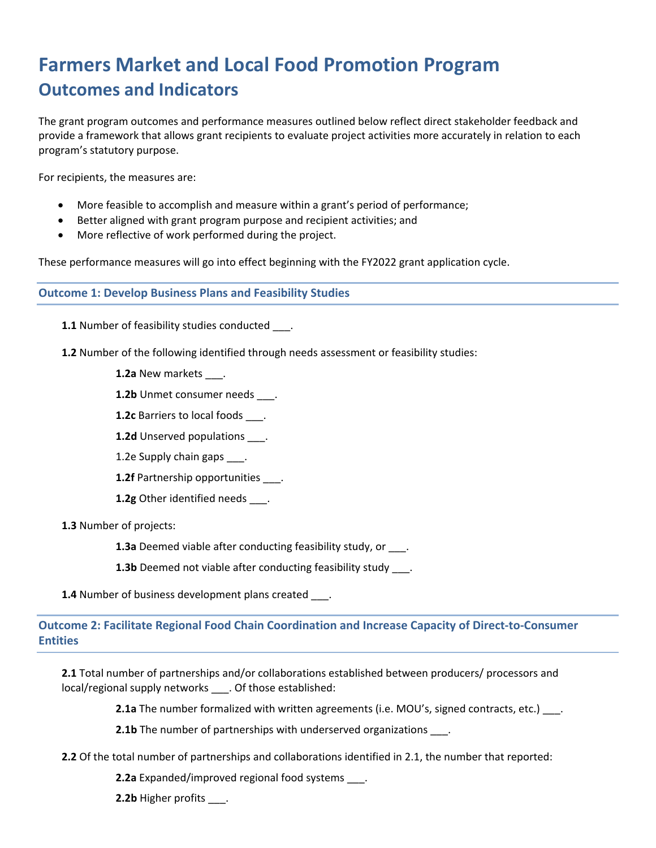# **Farmers Market and Local Food Promotion Program Outcomes and Indicators**

The grant program outcomes and performance measures outlined below reflect direct stakeholder feedback and provide a framework that allows grant recipients to evaluate project activities more accurately in relation to each program's statutory purpose.

For recipients, the measures are:

- More feasible to accomplish and measure within a grant's period of performance;
- Better aligned with grant program purpose and recipient activities; and
- More reflective of work performed during the project.

These performance measures will go into effect beginning with the FY2022 grant application cycle.

#### **Outcome 1: Develop Business Plans and Feasibility Studies**

**1.1** Number of feasibility studies conducted .

- **1.2** Number of the following identified through needs assessment or feasibility studies:
	- **1.2a** New markets .
	- 1.2b Unmet consumer needs \_\_\_\_.
	- **1.2c** Barriers to local foods \_\_\_.
	- 1.2d Unserved populations \_\_\_\_.
	- 1.2e Supply chain gaps \_\_\_.
	- **1.2f** Partnership opportunities .
	- **1.2g** Other identified needs .

**1.3** Number of projects:

**1.3a** Deemed viable after conducting feasibility study, or  $\qquad$ .

**1.3b** Deemed not viable after conducting feasibility study ...

**1.4** Number of business development plans created \_\_\_\_.

# **Outcome 2: Facilitate Regional Food Chain Coordination and Increase Capacity of Direct-to-Consumer Entities**

**2.1** Total number of partnerships and/or collaborations established between producers/ processors and local/regional supply networks \_\_\_. Of those established:

**2.1a** The number formalized with written agreements (i.e. MOU's, signed contracts, etc.) ...

**2.1b** The number of partnerships with underserved organizations \_\_\_.

**2.2** Of the total number of partnerships and collaborations identified in 2.1, the number that reported:

**2.2a** Expanded/improved regional food systems \_\_\_.

**2.2b** Higher profits \_\_\_\_.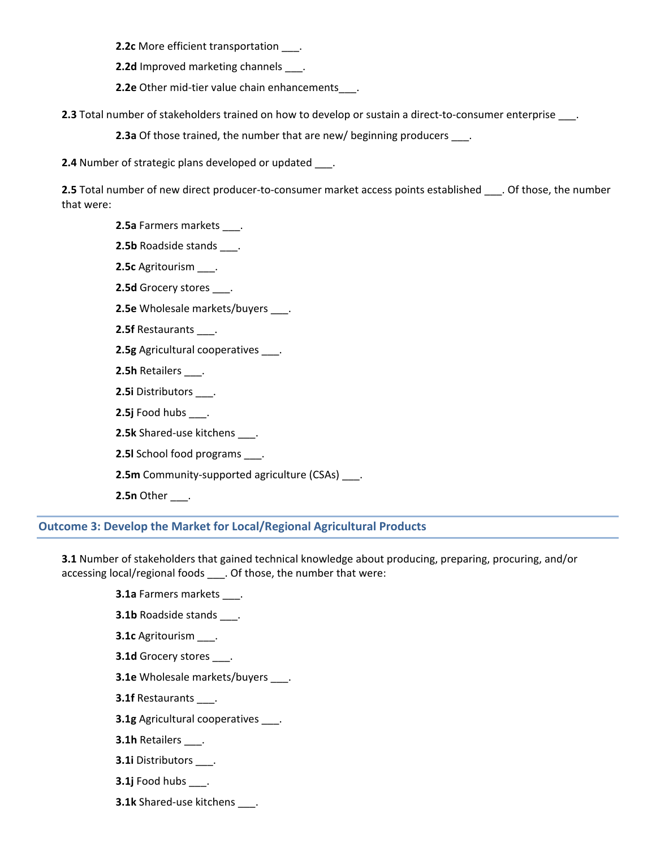**2.2c** More efficient transportation \_\_\_.

**2.2d** Improved marketing channels .

**2.2e** Other mid-tier value chain enhancements\_\_\_\_.

**2.3** Total number of stakeholders trained on how to develop or sustain a direct-to-consumer enterprise \_\_\_.

**2.3a** Of those trained, the number that are new/ beginning producers \_\_\_.

**2.4** Number of strategic plans developed or updated .

**2.5** Total number of new direct producer-to-consumer market access points established . Of those, the number that were:

**2.5a** Farmers markets .

- **2.5b** Roadside stands \_\_\_.
- **2.5c** Agritourism \_\_\_.
- **2.5d** Grocery stores \_\_\_.
- **2.5e** Wholesale markets/buyers \_\_\_.
- **2.5f** Restaurants \_\_\_.
- **2.5g** Agricultural cooperatives \_\_\_\_.
- **2.5h** Retailers \_\_\_.
- **2.5i** Distributors \_\_\_.
- **2.5j** Food hubs \_\_\_.
- **2.5k** Shared-use kitchens \_\_\_.
- **2.5l** School food programs \_\_\_.
- **2.5m** Community-supported agriculture (CSAs) \_\_\_.
- **2.5n** Other \_\_\_.

## **Outcome 3: Develop the Market for Local/Regional Agricultural Products**

**3.1** Number of stakeholders that gained technical knowledge about producing, preparing, procuring, and/or accessing local/regional foods \_\_\_. Of those, the number that were:

- **3.1a** Farmers markets \_\_\_.
- **3.1b** Roadside stands \_\_\_.
- **3.1c** Agritourism \_\_\_.
- **3.1d** Grocery stores \_\_\_\_.
- **3.1e** Wholesale markets/buyers \_\_\_.
- **3.1f** Restaurants \_\_\_.
- **3.1g** Agricultural cooperatives \_\_\_\_.
- **3.1h** Retailers \_\_\_.
- **3.1i** Distributors \_\_\_.
- **3.1j** Food hubs \_\_\_.
- **3.1k** Shared-use kitchens \_\_\_.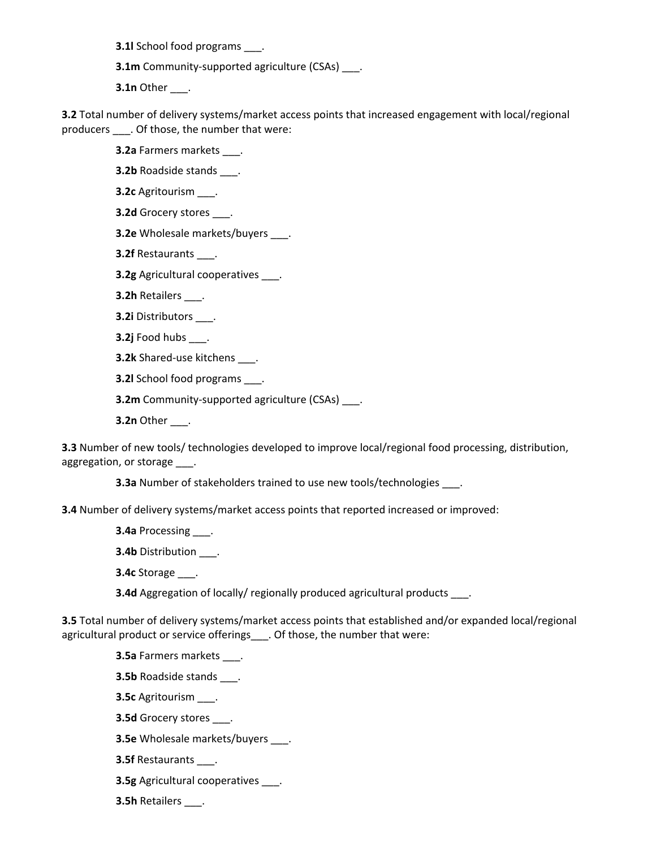**3.1l** School food programs \_\_\_.

**3.1m** Community-supported agriculture (CSAs) \_\_\_.

**3.1n** Other \_\_\_.

**3.2** Total number of delivery systems/market access points that increased engagement with local/regional producers \_\_\_. Of those, the number that were:

**3.2a** Farmers markets \_\_\_.

**3.2b** Roadside stands .

**3.2c** Agritourism \_\_\_.

**3.2d** Grocery stores \_\_\_.

**3.2e** Wholesale markets/buyers \_\_\_\_.

**3.2f** Restaurants \_\_\_.

**3.2g** Agricultural cooperatives \_\_\_.

**3.2h** Retailers \_\_\_.

**3.2i** Distributors \_\_\_.

**3.2j** Food hubs \_\_\_.

**3.2k** Shared-use kitchens .

**3.2l** School food programs .

**3.2m** Community-supported agriculture (CSAs) .

**3.2n** Other \_\_\_.

**3.3** Number of new tools/ technologies developed to improve local/regional food processing, distribution, aggregation, or storage \_\_\_\_.

**3.3a** Number of stakeholders trained to use new tools/technologies \_\_\_\_.

**3.4** Number of delivery systems/market access points that reported increased or improved:

**3.4a** Processing \_\_\_.

**3.4b** Distribution \_\_\_.

**3.4c** Storage \_\_\_.

**3.4d** Aggregation of locally/ regionally produced agricultural products .

**3.5** Total number of delivery systems/market access points that established and/or expanded local/regional agricultural product or service offerings\_\_\_. Of those, the number that were:

**3.5a** Farmers markets \_\_\_.

**3.5b** Roadside stands \_\_\_.

**3.5c** Agritourism \_\_\_.

**3.5d** Grocery stores \_\_\_.

**3.5e** Wholesale markets/buyers \_\_\_\_.

**3.5f** Restaurants \_\_\_.

**3.5g** Agricultural cooperatives .

**3.5h** Retailers \_\_\_.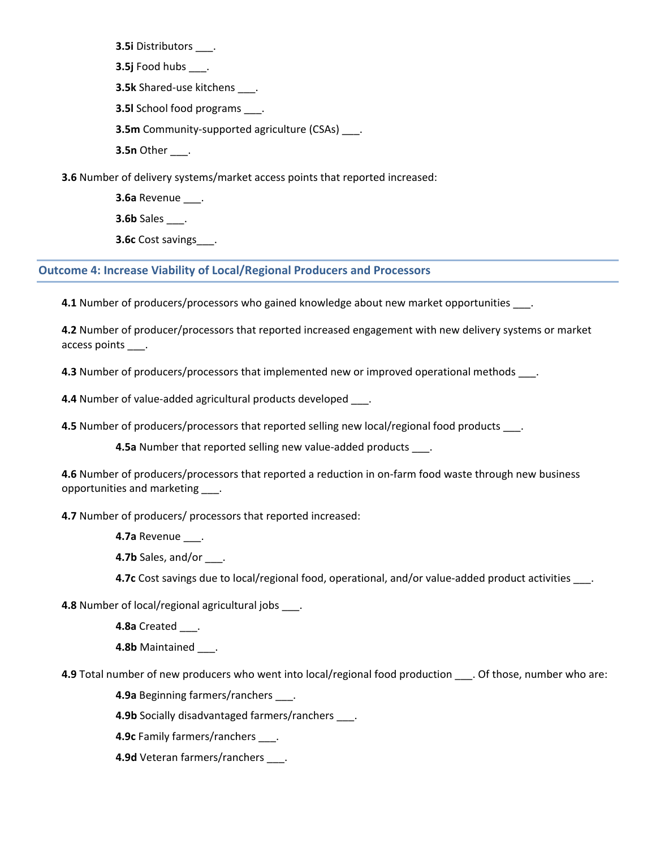**3.5i** Distributors \_\_\_.

**3.5j** Food hubs \_\_\_.

**3.5k** Shared-use kitchens \_\_\_.

**3.5l** School food programs \_\_\_.

**3.5m** Community-supported agriculture (CSAs) \_\_\_.

**3.5n** Other \_\_\_.

**3.6** Number of delivery systems/market access points that reported increased:

**3.6a** Revenue \_\_\_.

**3.6b** Sales \_\_\_.

**3.6c** Cost savings .

## **Outcome 4: Increase Viability of Local/Regional Producers and Processors**

**4.1** Number of producers/processors who gained knowledge about new market opportunities \_\_\_.

**4.2** Number of producer/processors that reported increased engagement with new delivery systems or market access points \_\_\_.

**4.3** Number of producers/processors that implemented new or improved operational methods .

**4.4** Number of value-added agricultural products developed \_\_\_.

**4.5** Number of producers/processors that reported selling new local/regional food products \_\_\_.

**4.5a** Number that reported selling new value-added products .

**4.6** Number of producers/processors that reported a reduction in on-farm food waste through new business opportunities and marketing \_\_\_.

**4.7** Number of producers/ processors that reported increased:

**4.7a** Revenue \_\_\_.

**4.7b** Sales, and/or \_\_\_.

**4.7c** Cost savings due to local/regional food, operational, and/or value-added product activities \_\_\_.

**4.8** Number of local/regional agricultural jobs \_\_\_.

**4.8a** Created \_\_\_.

**4.8b** Maintained \_\_\_.

**4.9** Total number of new producers who went into local/regional food production . Of those, number who are:

**4.9a** Beginning farmers/ranchers \_\_\_.

**4.9b** Socially disadvantaged farmers/ranchers \_\_\_\_.

**4.9c** Family farmers/ranchers \_\_\_.

**4.9d** Veteran farmers/ranchers \_\_\_\_.